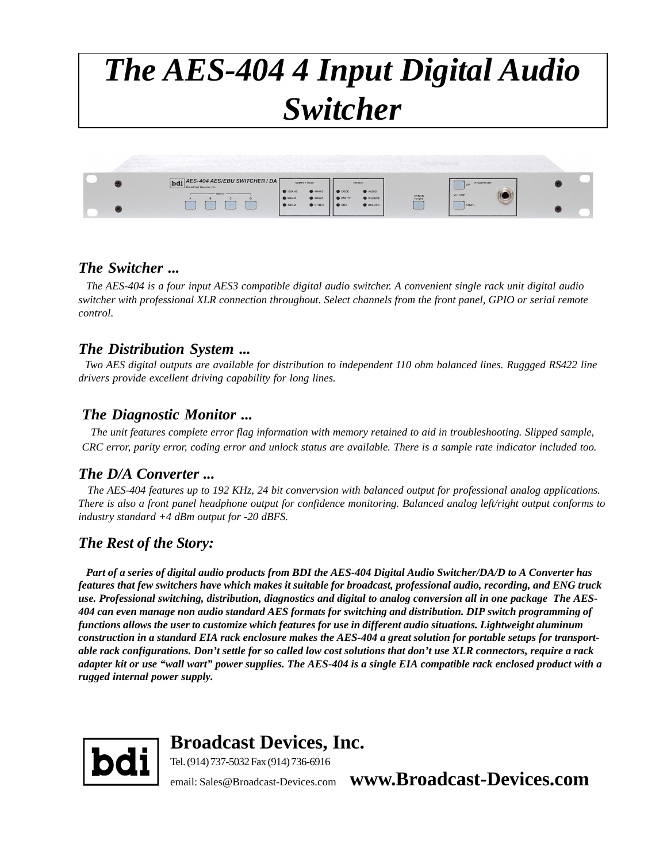# *The AES-404 4 Input Digital Audio Switcher*



#### *The Switcher ...*

 *The AES-404 is a four input AES3 compatible digital audio switcher. A convenient single rack unit digital audio switcher with professional XLR connection throughout. Select channels from the front panel, GPIO or serial remote control.*

#### *The Distribution System ...*

 *Two AES digital outputs are available for distribution to independent 110 ohm balanced lines. Ruggged RS422 line drivers provide excellent driving capability for long lines.*

#### *The Diagnostic Monitor ...*

 *The unit features complete error flag information with memory retained to aid in troubleshooting. Slipped sample, CRC error, parity error, coding error and unlock status are available. There is a sample rate indicator included too.*

#### *The D/A Converter ...*

 *The AES-404 features up to 192 KHz, 24 bit convervsion with balanced output for professional analog applications. There is also a front panel headphone output for confidence monitoring. Balanced analog left/right output conforms to industry standard +4 dBm output for -20 dBFS.*

### *The Rest of the Story:*

 *Part of a series of digital audio products from BDI the AES-404 Digital Audio Switcher/DA/D to A Converter has features that few switchers have which makes it suitable for broadcast, professional audio, recording, and ENG truck use. Professional switching, distribution, diagnostics and digital to analog conversion all in one package The AES-404 can even manage non audio standard AES formats for switching and distribution. DIP switch programming of functions allows the user to customize which features for use in different audio situations. Lightweight aluminum construction in a standard EIA rack enclosure makes the AES-404 a great solution for portable setups for transportable rack configurations. Don't settle for so called low cost solutions that don't use XLR connectors, require a rack adapter kit or use "wall wart" power supplies. The AES-404 is a single EIA compatible rack enclosed product with a rugged internal power supply.*



**Broadcast Devices, Inc.**

Tel. (914) 737-5032 Fax (914) 736-6916

email: Sales@Broadcast-Devices.com **www.Broadcast-Devices.com**